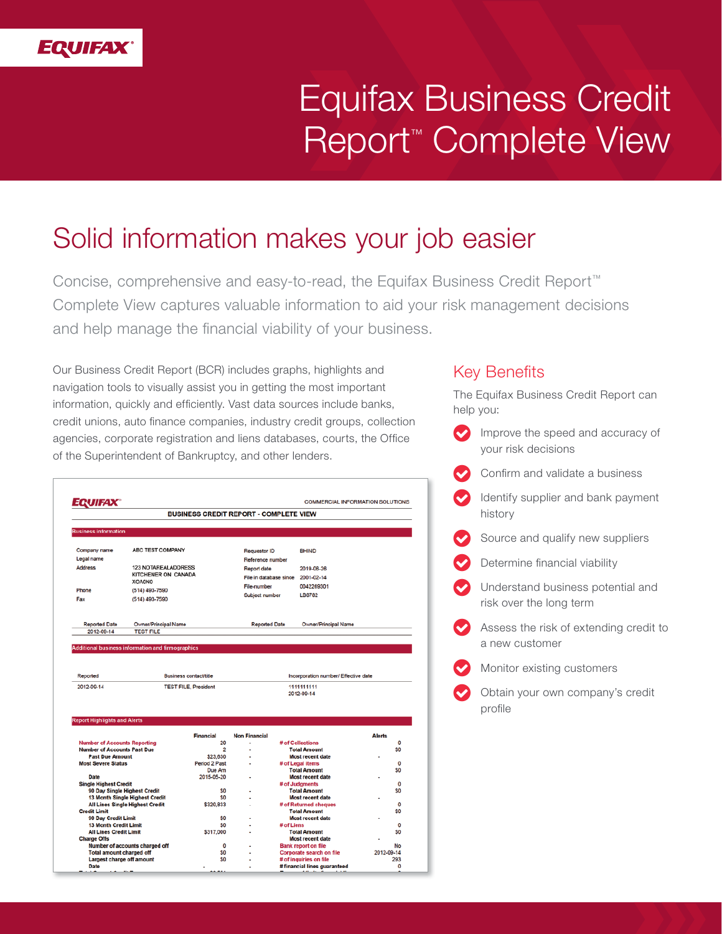

# Equifax Business Credit Report™ Complete View

## Solid information makes your job easier

Concise, comprehensive and easy-to-read, the Equifax Business Credit Report™ Complete View captures valuable information to aid your risk management decisions and help manage the financial viability of your business.

Our Business Credit Report (BCR) includes graphs, highlights and navigation tools to visually assist you in getting the most important information, quickly and efficiently. Vast data sources include banks, credit unions, auto finance companies, industry credit groups, collection agencies, corporate registration and liens databases, courts, the Office of the Superintendent of Bankruptcy, and other lenders.

| QUIFAX                                                        |                                        |                                                              | <b>COMMERCIAL INFORMATION SOLUTIONS</b> |            |                                                                  |               |
|---------------------------------------------------------------|----------------------------------------|--------------------------------------------------------------|-----------------------------------------|------------|------------------------------------------------------------------|---------------|
|                                                               |                                        | <b>BUSINESS CREDIT REPORT - COMPLETE VIEW</b>                |                                         |            |                                                                  |               |
| <b>Business information</b>                                   |                                        |                                                              |                                         |            |                                                                  |               |
|                                                               |                                        |                                                              |                                         |            |                                                                  |               |
| Company name                                                  | ABC TEST COMPANY                       |                                                              | Requestor ID                            |            | <b>BHIND</b>                                                     |               |
| Legal name                                                    |                                        |                                                              | Reference number                        |            |                                                                  |               |
| <b>Address</b>                                                | <b>123 NOTAREALADDRESS</b>             |                                                              | Report date                             |            | 2019-06-26                                                       |               |
|                                                               | KITCHENER ON CANADA                    |                                                              | File in database since                  |            | 2001-02-14                                                       |               |
| XOA0N0                                                        |                                        |                                                              | File-number                             |            | 0042269301                                                       |               |
|                                                               | Phone<br>(514) 493-7590                |                                                              | Subject number                          |            | LB6782                                                           |               |
| Fax                                                           | (514) 493-7590                         |                                                              |                                         |            |                                                                  |               |
| <b>Reported Date</b><br>Owner/Principal Name                  |                                        |                                                              | <b>Reported Date</b>                    |            | Owner/Principal Name                                             |               |
| 2012-09-14                                                    | <b>TEST FILE</b>                       |                                                              |                                         |            |                                                                  |               |
|                                                               |                                        | <b>Business contact/title</b><br><b>TEST FILE, President</b> |                                         |            | Incorporation number/ Effective date<br>1111111111<br>2012-09-14 |               |
|                                                               |                                        |                                                              |                                         |            |                                                                  |               |
|                                                               |                                        | <b>Financial</b>                                             | <b>Non Financial</b>                    |            |                                                                  | <b>Alerts</b> |
| <b>Number of Accounts Reporting</b>                           |                                        | 20                                                           | $\overline{a}$                          |            | # of Collections                                                 | 0             |
| <b>Number of Accounts Past Due</b>                            |                                        | $\overline{2}$                                               |                                         |            | <b>Total Amount</b>                                              | \$0           |
| <b>Past Due Amount</b>                                        |                                        | \$23,630                                                     | $\blacksquare$                          |            | <b>Most recent date</b>                                          |               |
| <b>Most Severe Status</b>                                     |                                        | Period 2 Past<br>Due Am                                      |                                         |            | # of Legal items<br><b>Total Amount</b>                          | 0<br>\$0      |
| <b>Date</b>                                                   |                                        | 2015-05-20                                                   |                                         |            | <b>Most recent date</b>                                          |               |
| <b>Single Highest Credit</b>                                  |                                        |                                                              |                                         |            | # of Judgments                                                   | 0             |
|                                                               | 90 Day Single Highest Credit           | \$0                                                          |                                         |            | <b>Total Amount</b>                                              | \$0           |
|                                                               | 13 Month Single Highest Credit         | \$0                                                          | ٠                                       |            | <b>Most recent date</b>                                          |               |
|                                                               | <b>All Lines Single Highest Credit</b> | \$320,833                                                    |                                         |            | # of Returned cheques                                            | O             |
| <b>Credit Limit</b>                                           |                                        |                                                              |                                         |            | <b>Total Amount</b>                                              | \$0           |
| 90 Day Credit Limit                                           |                                        | \$0                                                          |                                         |            | <b>Most recent date</b>                                          | 0             |
| <b>13 Month Credit Limit</b><br><b>All Lines Credit Limit</b> |                                        | \$0<br>\$317,000                                             |                                         | # of Liens | <b>Total Amount</b>                                              | \$0           |
| <b>Charge Offs</b>                                            |                                        |                                                              |                                         |            | <b>Most recent date</b>                                          |               |
| Reported<br>2012-09-14<br><b>Report Highlights and Alerts</b> | Number of accounts charged off         | 0                                                            |                                         |            | <b>Bank report on file</b>                                       | No            |
| <b>Total amount charged off</b>                               |                                        | \$0                                                          |                                         |            | <b>Corporate search on file</b>                                  | 2012-09-14    |
| Largest charge off amount<br>Date                             |                                        | \$0                                                          | ٠                                       |            | # of inquiries on file<br># financial lines guaranteed           | 293<br>0      |

#### Key Benefits

The Equifax Business Credit Report can help you:

 Improve the speed and accuracy of your risk decisions Confirm and validate a business Identify supplier and bank payment history Source and qualify new suppliers Determine financial viability Understand business potential and risk over the long term Assess the risk of extending credit to a new customer Monitor existing customers Obtain your own company's credit profile